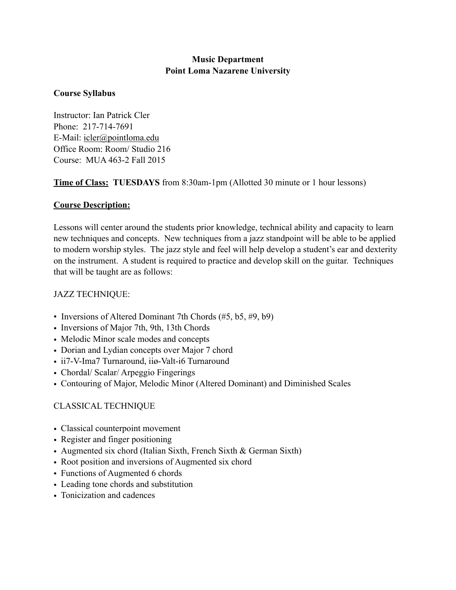## **Music Department Point Loma Nazarene University**

### **Course Syllabus**

Instructor: Ian Patrick Cler Phone: 217-714-7691 E-Mail: [icler@pointloma.edu](mailto:icler@pointloma.edu) Office Room: Room/ Studio 216 Course: MUA 463-2 Fall 2015

**Time of Class: TUESDAYS** from 8:30am-1pm (Allotted 30 minute or 1 hour lessons)

# **Course Description:**

Lessons will center around the students prior knowledge, technical ability and capacity to learn new techniques and concepts. New techniques from a jazz standpoint will be able to be applied to modern worship styles. The jazz style and feel will help develop a student's ear and dexterity on the instrument. A student is required to practice and develop skill on the guitar. Techniques that will be taught are as follows:

# JAZZ TECHNIQUE:

- Inversions of Altered Dominant 7th Chords (#5, b5, #9, b9)
- Inversions of Major 7th, 9th, 13th Chords
- Melodic Minor scale modes and concepts
- Dorian and Lydian concepts over Major 7 chord
- ii7-V-Ima7 Turnaround, iiø-Valt-i6 Turnaround
- Chordal/ Scalar/ Arpeggio Fingerings
- Contouring of Major, Melodic Minor (Altered Dominant) and Diminished Scales

# CLASSICAL TECHNIQUE

- Classical counterpoint movement
- Register and finger positioning
- Augmented six chord (Italian Sixth, French Sixth & German Sixth)
- Root position and inversions of Augmented six chord
- Functions of Augmented 6 chords
- Leading tone chords and substitution
- Tonicization and cadences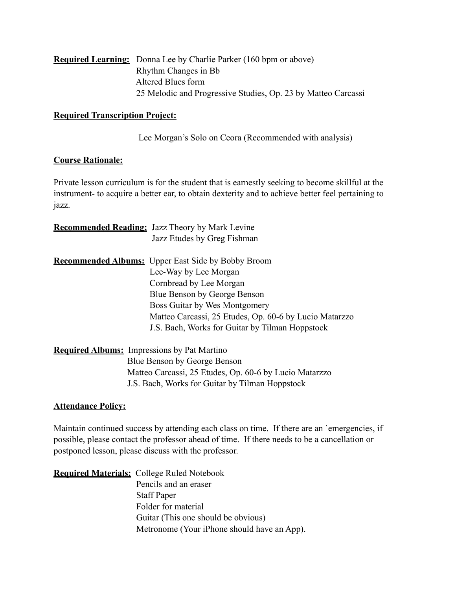| <b>Required Learning:</b> Donna Lee by Charlie Parker (160 bpm or above) |
|--------------------------------------------------------------------------|
| Rhythm Changes in Bb                                                     |
| Altered Blues form                                                       |
| 25 Melodic and Progressive Studies, Op. 23 by Matteo Carcassi            |

#### **Required Transcription Project:**

Lee Morgan's Solo on Ceora (Recommended with analysis)

#### **Course Rationale:**

Private lesson curriculum is for the student that is earnestly seeking to become skillful at the instrument- to acquire a better ear, to obtain dexterity and to achieve better feel pertaining to jazz.

| <b>Recommended Reading:</b> Jazz Theory by Mark Levine |                                                           |
|--------------------------------------------------------|-----------------------------------------------------------|
|                                                        | Jazz Etudes by Greg Fishman                               |
|                                                        | <b>Recommended Albums:</b> Upper East Side by Bobby Broom |
|                                                        | Lee-Way by Lee Morgan                                     |
|                                                        | Cornbread by Lee Morgan                                   |
|                                                        | Blue Benson by George Benson                              |
|                                                        | Boss Guitar by Wes Montgomery                             |
|                                                        | Matteo Carcassi, 25 Etudes, Op. 60-6 by Lucio Matarzzo    |
|                                                        | J.S. Bach, Works for Guitar by Tilman Hoppstock           |
| <b>Required Albums:</b> Impressions by Pat Martino     |                                                           |
|                                                        | Blue Benson by George Benson                              |
|                                                        | Matteo Carcassi, 25 Etudes, Op. 60-6 by Lucio Matarzzo    |

## **Attendance Policy:**

Maintain continued success by attending each class on time. If there are an `emergencies, if possible, please contact the professor ahead of time. If there needs to be a cancellation or postponed lesson, please discuss with the professor.

J.S. Bach, Works for Guitar by Tilman Hoppstock

**Required Materials:** College Ruled Notebook Pencils and an eraser Staff Paper Folder for material Guitar (This one should be obvious) Metronome (Your iPhone should have an App).